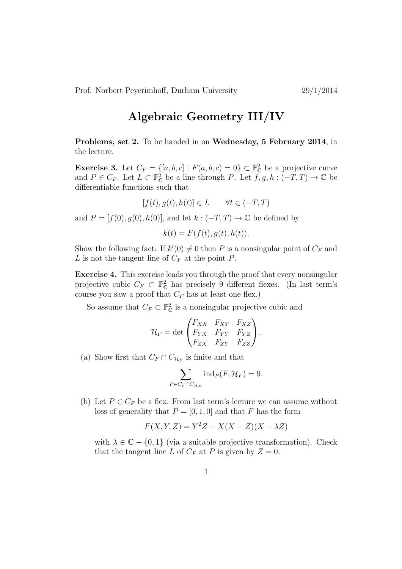## Algebraic Geometry III/IV

Problems, set 2. To be handed in on Wednesday, 5 February 2014, in the lecture.

**Exercise 3.** Let  $C_F = \{[a, b, c] \mid F(a, b, c) = 0\} \subset \mathbb{P}_{\mathbb{C}}^2$  be a projective curve and  $P \in C_F$ . Let  $L \subset \mathbb{P}^2_{\mathbb{C}}$  be a line through P. Let  $f, g, h: (-T, T) \to \mathbb{C}$  be differentiable functions such that

$$
[f(t), g(t), h(t)] \in L \qquad \forall t \in (-T, T)
$$

and  $P = [f(0), q(0), h(0)]$ , and let  $k : (-T, T) \rightarrow \mathbb{C}$  be defined by

 $k(t) = F(f(t), a(t), h(t)).$ 

Show the following fact: If  $k'(0) \neq 0$  then P is a nonsingular point of  $C_F$  and L is not the tangent line of  $C_F$  at the point  $P$ .

Exercise 4. This exercise leads you through the proof that every nonsingular projective cubic  $C_F \subset \mathbb{P}_{\mathbb{C}}^2$  has precisely 9 different flexes. (In last term's course you saw a proof that  $C_F$  has at least one flex.)

So assume that  $C_F \subset \mathbb{P}_{\mathbb{C}}^2$  is a nonsingular projective cubic and

$$
\mathcal{H}_F = \det \begin{pmatrix} F_{XX} & F_{XY} & F_{XZ} \\ F_{YX} & F_{YY} & F_{YZ} \\ F_{ZX} & F_{ZY} & F_{ZZ} \end{pmatrix}.
$$

(a) Show first that  $C_F \cap C_{\mathcal{H}_F}$  is finite and that

$$
\sum_{P \in C_F \cap C_{\mathcal{H}_F}} \text{ind}_P(F, \mathcal{H}_F) = 9.
$$

(b) Let  $P \in C_F$  be a flex. From last term's lecture we can assume without loss of generality that  $P = [0, 1, 0]$  and that F has the form

$$
F(X, Y, Z) = Y^2 Z - X(X - Z)(X - \lambda Z)
$$

with  $\lambda \in \mathbb{C} - \{0, 1\}$  (via a suitable projective transformation). Check that the tangent line L of  $C_F$  at P is given by  $Z = 0$ .